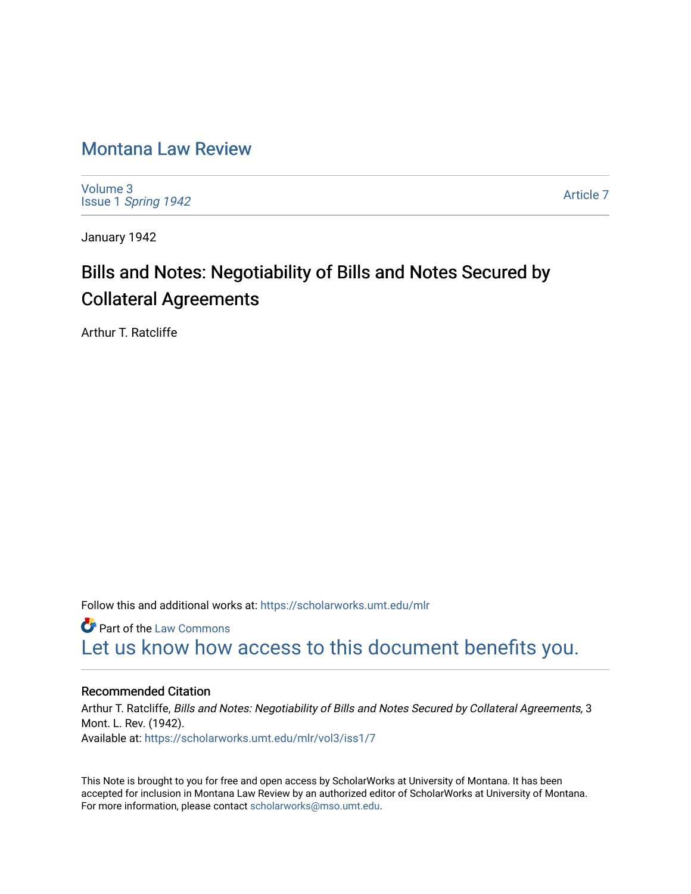## [Montana Law Review](https://scholarworks.umt.edu/mlr)

[Volume 3](https://scholarworks.umt.edu/mlr/vol3) Issue 1 [Spring 1942](https://scholarworks.umt.edu/mlr/vol3/iss1) 

[Article 7](https://scholarworks.umt.edu/mlr/vol3/iss1/7) 

January 1942

# Bills and Notes: Negotiability of Bills and Notes Secured by Collateral Agreements

Arthur T. Ratcliffe

Follow this and additional works at: [https://scholarworks.umt.edu/mlr](https://scholarworks.umt.edu/mlr?utm_source=scholarworks.umt.edu%2Fmlr%2Fvol3%2Fiss1%2F7&utm_medium=PDF&utm_campaign=PDFCoverPages) 

**Part of the [Law Commons](http://network.bepress.com/hgg/discipline/578?utm_source=scholarworks.umt.edu%2Fmlr%2Fvol3%2Fiss1%2F7&utm_medium=PDF&utm_campaign=PDFCoverPages)** [Let us know how access to this document benefits you.](https://goo.gl/forms/s2rGfXOLzz71qgsB2) 

### Recommended Citation

Arthur T. Ratcliffe, Bills and Notes: Negotiability of Bills and Notes Secured by Collateral Agreements, 3 Mont. L. Rev. (1942). Available at: [https://scholarworks.umt.edu/mlr/vol3/iss1/7](https://scholarworks.umt.edu/mlr/vol3/iss1/7?utm_source=scholarworks.umt.edu%2Fmlr%2Fvol3%2Fiss1%2F7&utm_medium=PDF&utm_campaign=PDFCoverPages)

This Note is brought to you for free and open access by ScholarWorks at University of Montana. It has been accepted for inclusion in Montana Law Review by an authorized editor of ScholarWorks at University of Montana. For more information, please contact [scholarworks@mso.umt.edu.](mailto:scholarworks@mso.umt.edu)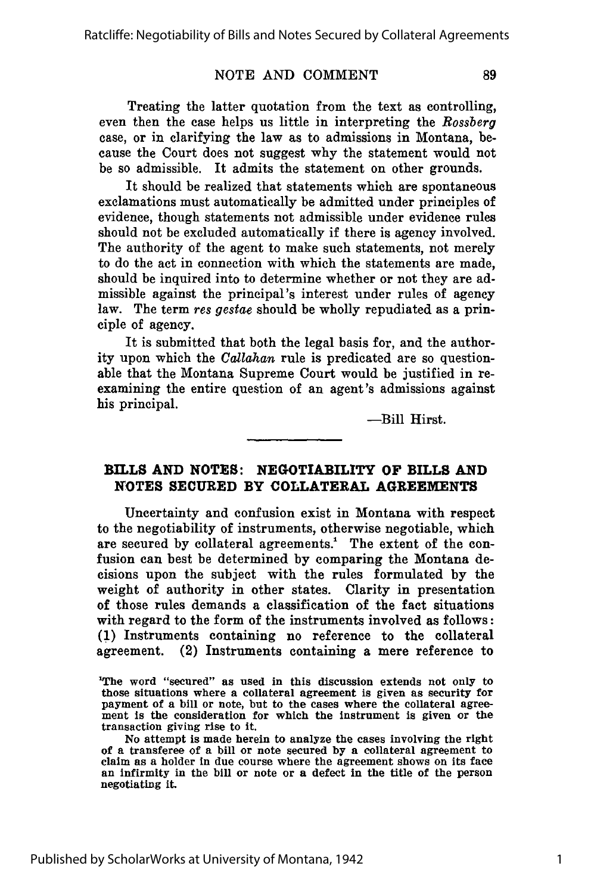Treating the latter quotation from the text as controlling, even then the case helps us little in interpreting the *Rossberg* case, or in clarifying the law as to admissions in Montana, because the Court does not suggest why the statement would not be so admissible. It admits the statement on other grounds.

It should be realized that statements which are spontaneous exclamations must automatically be admitted under principles of evidence, though statements not admissible under evidence rules should not be excluded automatically if there is agency involved. The authority of the agent to make such statements, not merely to do the act in connection with which the statements are made, should be inquired into to determine whether or not they are admissible against the principal's interest under rules of agency law. The term *res gestae* should be wholly repudiated as a principle of agency.

It is submitted that both the legal basis for, and the authority upon which the *Callahan* rule is predicated are so questionable that the Montana Supreme Court would be justified in reexamining the entire question of an agent's admissions against his principal.

-Bill Hirst.

#### **BILLS AND NOTES: NEGOTIABILITY OF BILLS AND NOTES SECURED BY COLLATERAL AGREEMENTS**

Uncertainty and confusion exist in Montana with respect to the negotiability of instruments, otherwise negotiable, which are secured **by** collateral agreements.' The extent of the confusion can best be determined **by** comparing the Montana decisions upon the subject with the rules formulated **by** the weight of authority in other states. Clarity in presentation of those rules demands a classification of the fact situations with regard to the form of the instruments involved as follows: **(1)** Instruments containing no reference to the collateral agreement. (2) Instruments containing a mere reference to

89

<sup>&#</sup>x27;The word "secured" as used in this discussion extends not only to those situations where a collateral agreement is given as security for payment of a bill or note, but to the cases where the collateral agreement is the consideration for which the instrument is given or the transaction giving rise to it.

No attempt is made herein to analyze the cases involving the right of a transferee of a bill or note secured **by** a collateral agreement to claim as a holder in due course where the agreement shows on its face an infirmity in the bill or note or a defect in the title of the person negotiating it.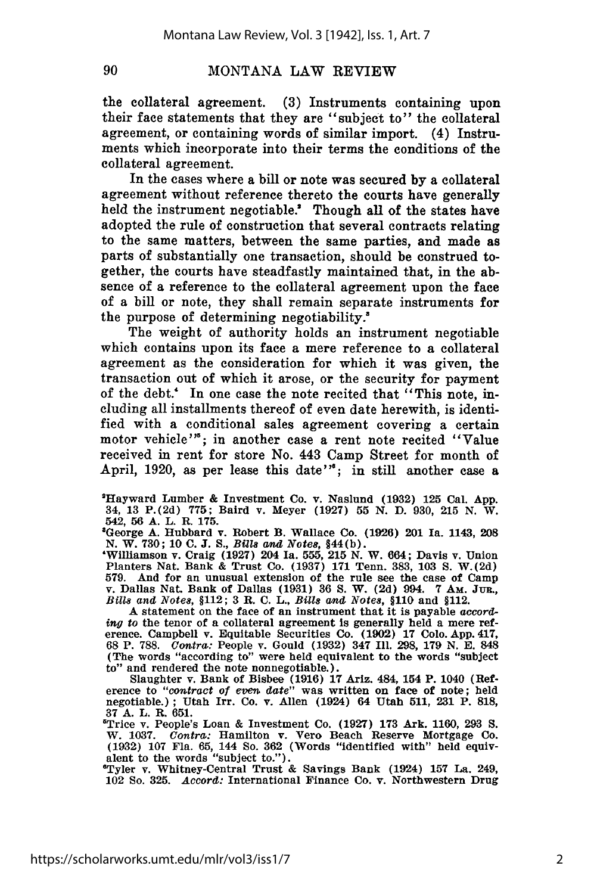the collateral agreement. **(3)** Instruments containing upon their face statements that they are "subject to" the collateral agreement, or containing words of similar import. (4) Instruments which incorporate into their terms the conditions of the collateral agreement.

In the cases where a bill or note was secured **by** a collateral agreement without reference thereto the courts have generally held the instrument negotiable.' Though all of the states have adopted the rule of construction that several contracts relating to the same matters, between the same parties, and made as parts of substantially one transaction, should be construed together, the courts have steadfastly maintained that, in the absence of a reference to the collateral agreement upon the face of a bill or note, they shall remain separate instruments for the purpose of determining negotiability.<sup>8</sup>

The weight of authority holds an instrument negotiable which contains upon its face a mere reference to a collateral agreement as the consideration for which it was given, the transaction out of which it arose, or the security for payment of the debt.' In one case the note recited that "This note, including all installments thereof of even date herewith, is identified with a conditional sales agreement covering a certain motor vehicle"'; in another case a rent note recited "Value" received in rent for store No. 443 Camp Street for month of April, 1920, as per lease this date"<sup>\*</sup>; in still another case a

'Hayward Lumber **&** Investment Co. v. Naslund **(1932) 125** Cal. **App.** 34, **13** P. **(2d) 775;** Baird v. Meyer **(1927) 55 N. D. 930, 215 N.** W. 542, **56 A.** L. R. **175.**

8George **A.** Hubbard v. Robert B. Wallace Co. **(1926)** 201 Ia. 1143, **208 N.** W. **730; 10 C. J. S.,** *Bills and Notes,* §44(b).

'Williamson v. Craig **(1927)** 204 Ia. **555, 215 N.** W. 664; Davis v. Union Planters Nat. Bank & Trust Co. **(1937) 171** Tenn. **383, 103 S.** W.(2d) 579. And for an unusual extension of the rule see the case of Camp<br>v. Dallas Nat. Bank of Dallas (1931) 36 S. W. (2d) 994. 7 Am. JUR.,<br>Bills and Notes, §112; 3 R. C. L., Bills and Notes, §110 and §112.

A statement on the face of an instrument that it is payable *according* to the tenor of a collateral agreement is generally held a mere ref- erence. Campbell v. Equitable Securities Co. **(1902) 17 Colo. App.** 417, **68** P. **788.** *Contra:* People v. Gould **(1932)** 347 Ill. **298, 179 N. E.** 848 (The words "according to" were held equivalent to the words "subject

to" and rendered the note nonnegotiable.).<br>Slaughter v. Bank of Bisbee (1916) 17 Ariz. 484, 154 P. 1040 (Ref-<br>erence to "contract of even date" was written on face of note; held<br>negotiable.); Utah Irr. Co. v. Allen (1924) **37 A.** L. R. **651.**

'Trice v. People's Loan **&** Investment Co. **(1927) 173** Ark. **1160, 293 S.** W. **1037.** *Contra:* Hamilton v. Vero Beach Reserve Mortgage Co. **(1932) 107** Fla. **65,** 144 So. **362** (Words "identified with" held equivalent to the words "subject to."). The subject of the words "subject to."). The subject of  $\mathbb{R}$  and  $\mathbb{R}$  and  $\mathbb{R}$  and  $\mathbb{R}$  and  $\mathbb{R}$  and  $\mathbb{R}$  and  $\mathbb{R}$  and  $\mathbb{R}$  and  $\mathbb{R}$  and  $\mathbb{R}$  and

102 So. **325.** *Accord:* International Finance Co. v. Northwestern Drug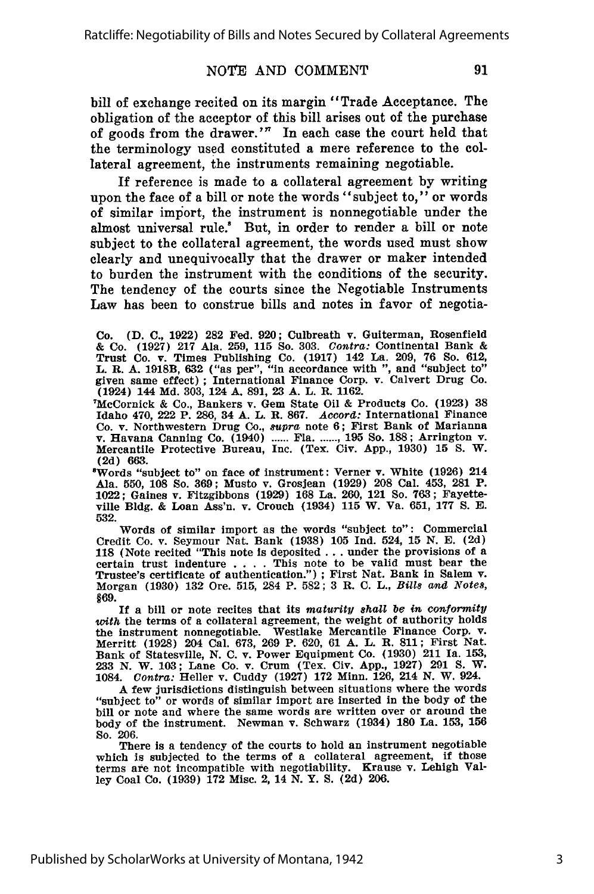bill of exchange recited on its margin "Trade Acceptance. The obligation of the acceptor of this bill arises out of the purchase of goods from the drawer.'" In each case the court held that the terminology used constituted a mere reference to the collateral agreement, the instruments remaining negotiable.

If reference is made to a collateral agreement by writing upon the face of a bill or note the words "subject to," or words of similar import, the instrument is nonnegotiable under the almost universal rule.' But, in order to render a bill or note subject to the collateral agreement, the words used must show clearly and unequivocally that the drawer or maker intended to burden the instrument with the conditions of the security. The tendency of the courts since the Negotiable Instruments Law has been to construe bills and notes in favor of negotia-

Co. **(D. C., 1922) 282** Fed. **920;** Culbreath v. Guiterman, Rosenfield **&** Co. **(1927) 217** Ala. **259, 115** So. **303.** Contra: Continental Bank **&** Trust Co. v. Times Publishing Co. **(1917)** 142 La. **209, 76** So. **612,** L. R. A. 1918B, 632 ("as per", "in accordance with ", and "subject to" given same effect); International Finance Corp. v. Calvert Drug Co. (1924) 144 Md. 303, 124 A. 891, 23 A. L. R. 1162.

7McCornick **&** Co., Bankers v. Gem State Oil **&** Products Co. **(1923) 38** Idaho 470, 222 P. **286,** 34 **A.** L. **R. 867.** *Accord:* International Finance Co. v. Northwestern Drug Co., *supra* note **6;** First Bank of Marianna v. Havana Canning Co. (1940) **......** Fla **....... , 195** So. **188;** Arrington v. Mercantile Protective Bureau, Inc. (Tex. Civ. **App., 1930) 15 S.** W.

**(2d) 663.** 8Words "subject to" on face of instrument: Verner v. White **(1926)** <sup>214</sup> Ala. **550, 108** So. **369;** Musto v. Grosjean **(1929) 208** Cal. 453, **281** P. 1022; Gaines v. Fitzgibbons **(1929) 168** La. 260, 121 So. **763;** Fayette**ville Bldg.** & Loan Ass'n. v. Crouch (1934) **115** W. Va. **651, 177 S. E. 532.**

Words of similar import as the words "subject to": Commercial Credit Co. v. Seymour Nat. Bank **(1938) 105 Ind.** 524, **15 N. E. (2d) 118** (Note recited "This note is deposited **...** under the provisions of a certain trust indenture . **. .** . This note to be valid must bear the Trustee's certificate of authentication.") **;** First Nat. Bank in Salem v. Morgan (1930) **132** Ore. 515, 284 P. **582; 3** R. **C.** L., *Bills and Notes,* §69.

If a bill or note recites that its *maturity shall be in conformity* with the terms of a collateral agreement, the weight of authority holds the instrument nonnegotiable. Westlake Mercantile Finance Corp. v. Merritt (1928) 204 Cal. 673, 269 P. 620, 61 **A.** L. **R.** 811; First Nat. Bank of Statesville, N. C. v. Power Equipment Co. (1930) 211 Ia. 153, 233 N. W. 103; Lane Co. v. Crum (Tex. Civ. App., 1927) 291 **S.** W. 1084. *Contra:* Heller v. Cuddy (1927) **172** Minn. 126, 214 N. W. 924.

**A** few jurisdictions distinguish between situations where the words "subject to" or words of similar import are inserted in the body of the bill or note and where the same words are written over or around the body of the instrument. Newman v. Schwarz (1934) 180 La. 153, **156** So. **206.**

There is a tendency of the courts to hold an instrument negotiable which is subjected to the terms of a collateral agreement, if those terms are not incompatible with negotiability. Krause v. Lehigh Valley Coal Co. **(1939) 172** Misc. 2, 14 **N.** Y. **S. (2d) 206.**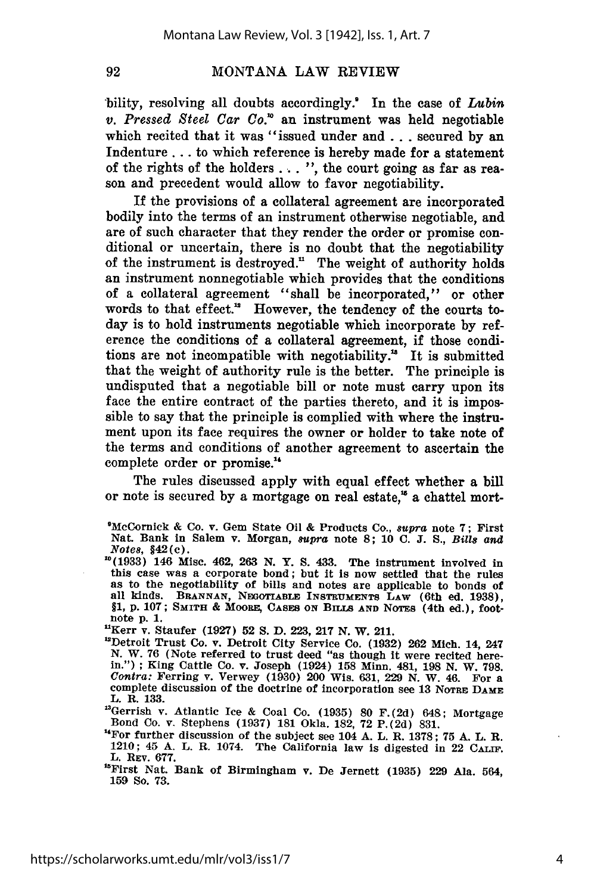bility, resolving all doubts accordingly.! In the case of *Lubin v. Pressed Steel Car Co.'* an instrument was held negotiable which recited that it was "issued under and **.** .. secured by an Indenture... to which reference is hereby made for a statement of the rights of the holders . . . ", the court going as far as reason and precedent would allow to favor negotiability.

If the provisions of a collateral agreement are incorporated bodily into the terms of an instrument otherwise negotiable, and are of such character that they render the order or promise conditional or uncertain, there is no doubt that the negotiability of the instrument is destroyed." The weight of authority holds an instrument nonnegotiable which provides that the conditions of a collateral agreement "shall be incorporated," or other words to that effect." However, the tendency of the courts today is to hold instruments negotiable which incorporate **by** reference the conditions of a collateral agreement, if those conditions are not incompatible with negotiability.<sup>18</sup> It is submitted that the weight of authority rule is the better. The principle is undisputed that a negotiable bill or note must carry upon its face the entire contract of the parties thereto, and it is impossible to say that the principle is complied with where the instrument upon its face requires the owner or holder to take note of the terms and conditions of another agreement to ascertain the complete order or promise."

The rules discussed apply with equal effect whether a bill or note is secured by a mortgage on real estate," a chattel mort-

"Kerr v. Staufer (1927) **52 S.** D. 223, **217** N. W. 211.

"Gerrish v. Atlantic **Ice** & Coal Co. **(1935) 80** F.(2d) 648; Mortgage Bond Co. v. Stephens (1937) 181 Okla. 182, **72** P.(2d) 831.

<sup>&#</sup>x27;McCornick **&** Co. v. Gem State **Oil &** Products Co., supra note **7;** First Nat. Bank in Salem v. Morgan, *8upra* note **8; 10 C. J. S.,** *BiU8 and* Note8, **§42(c).**

**<sup>&</sup>quot;°(1933)** 146 Misc. 462, **263 N.** Y. **S.** 433. The instrument involved in this case was a corporate bond; but it is now settled that the rules as to the negotiability of bills and notes are applicable to bonds of all kinds. **BRANNAN, NInOTIABLE INSTRUMENTS LAW** (6th ed. **1938), §1, p. 107; SMITH & MOORE, CASES ON** BILLS **AND** NOTES (4th ed.), footnote **p. 1.**

<sup>&</sup>quot;Detroit Trust Co. v. Detroit City Service Co. (1932) 262 Mich. 14, 247 N. W. 76 (Note referred to trust deed "as though i were recited here.<br>in."); King Cattle Co. v. Joseph (1924) 158 Minn. 481, 198 N. W. 798<br>Contra: Ferring v. Verwey (1930) 200 Wis. 631, 229 N. W. 46. For a<br>complete discuss complete discussion of the doctrine of incorporation see 13 NOTRE DAME L. R. 133.

<sup>&#</sup>x27;"For further discussion of the subject see 104 A. L. R. 1378; **75 A.** L. R. 1210; 45 A. L. R. 1074. The California law is digested in 22 CALIF. L. REV. **677.**

<sup>&</sup>quot;First Nat. Bank of Birmingham v. De Jernett (1935) 229 Ala. 564, **159** So. 73.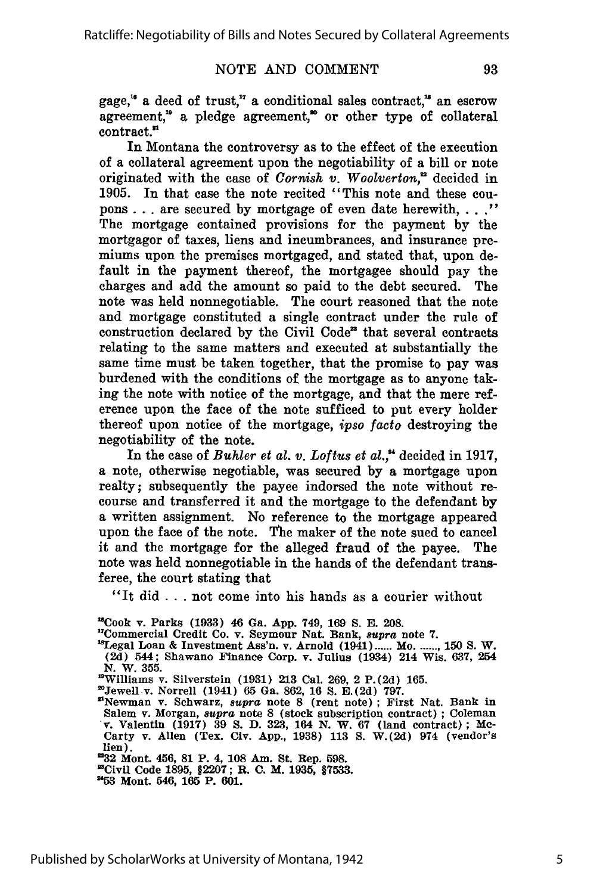gage,<sup>16</sup> a deed of trust,<sup>17</sup> a conditional sales contract,<sup>18</sup> an escrow agreement," a pledge agreement," or other type of collateral contract."

In Montana the controversy as to the effect of the execution of a collateral agreement upon the negotiability of a bill or note originated with the case of *Cornish v. Woolverton*,<sup>22</sup> decided in 1905. In that case the note recited "This note and these coupons **. . .** are secured by mortgage of even date herewith, **.... "** The mortgage contained provisions for the payment by the mortgagor of taxes, liens and incumbrances, and insurance premiums upon the premises mortgaged, and stated that, upon default in the payment thereof, the mortgagee should pay the charges and add the amount so paid to the debt secured. The note was held nonnegotiable. The court reasoned that the note and mortgage constituted a single contract under the rule of construction declared by the Civil Code" that several contracts relating to the same matters and executed at substantially the same time must be taken together, that the promise to pay was burdened with the conditions of the mortgage as to anyone taking the note with notice of the mortgage, and that the mere reference upon the face of the note sufficed to put every holder thereof upon notice of the mortgage, *ipso facto* destroying the negotiability of the note.

In the case of *Buhler et al. v. Loftus et al.,"* decided in 1917, a note, otherwise negotiable, was secured by a mortgage upon realty; subsequently the payee indorsed the note without recourse and transferred it and the mortgage to the defendant by a written assignment. No reference to the mortgage appeared upon the face of the note. The maker of the note sued to cancel it and the mortgage for the alleged fraud of the payee. The note was held nonnegotiable in the hands of the defendant transferee, the court stating that

"It did **...** not come into his hands as a courier without

"Cook v. Parks **(1933)** 46 Ga. **App.** 749, 169 **S. E. 208.** '

"Legal Loan **&** Investment Ass'n. v. Arnold (1941) **......** Mo **........ 150 S.** W. **(2d)** 544; Shawano Finance Corp. v. Julius (1934) 214 Wis. **637,** 254 **N.** W. **355.**

"Williams 2 v. Silverstein **(1931) 213** Cal. **269,** 2 P. **(2d) 165.** Jewell v. Norrell (1941) **65** Ga. **862, 16 S. E.(2d) 797.**

"Newman v. Schwarz, *supra* note **8** (rent note) **;** First Nat. Bank in

Salem v. Morgan, *supra* note **8** (stock subscription contract) **;** Coleman v. Valentin **(1917) 39 S. D. 323,** 164 **N.** W. **67** (land contract); Mc-Carty v. Allen (Tex. Civ. **App., 1938) 113 S.** W.(2d) 974 (vendor's lien).

**'32** Mont. 456, **81** P. 4, **108** Am. St. Rep. **598.**

'Civil Code **1895, §2207;** R. **C.** M. **1935, §7533. "53** Mont. 546, **165** P. **601.**

5

TCommercial Credit Co. v. Seymour Nat. Bank, *supra* note **7.**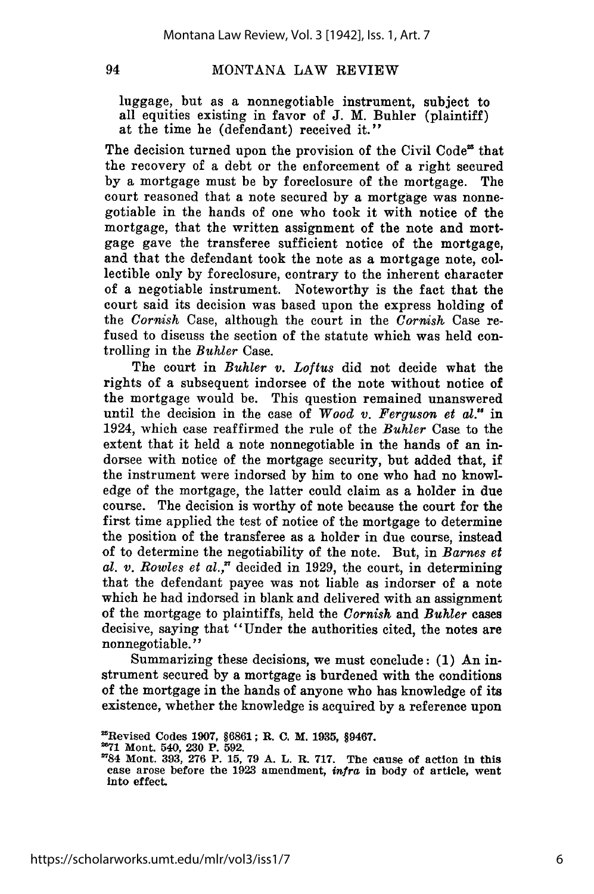luggage, but as a nonnegotiable instrument, subject to all equities existing in favor of J. M. Buhler (plaintiff) at the time he (defendant) received it."

The decision turned upon the provision of the Civil Code<sup>25</sup> that the recovery of a debt or the enforcement of a right secured by a mortgage must be by foreclosure of the mortgage. The court reasoned that a note secured by a mortgage was nonnegotiable in the hands of one who took it with notice of the mortgage, that the written assignment of the note and mortgage gave the transferee sufficient notice of the mortgage, and that the defendant took the note as a mortgage note, collectible only by foreclosure, contrary to the inherent character of a negotiable instrument. Noteworthy is the fact that the court said its decision was based upon the express holding of the *Cornish* Case, although the court in the *Cornish* Case refused to discuss the section of the statute which was held controlling in the *Buhler* Case.

The court in *Buhler v. Loftus* did not decide what the rights of a subsequent indorsee of the note without notice of the mortgage would be. This question remained unanswered until the decision in the case of *Wood v. Ferguson et* al." in 1924, which case reaffirmed the rule of the *Buhler* Case to the extent that it held a note nonnegotiable in the hands of an indorsee with notice of the mortgage security, but added that, if the instrument were indorsed by him to one who had no knowledge of the mortgage, the latter could claim as a holder in due course. The decision is worthy of note because the court for the first time applied the test of notice of the mortgage to determine the position of the transferee as a holder in due course, instead of to determine the negotiability of the note. But, in *Barnes et* al.  $v.$  Rowles et  $al.$ <sup>7</sup> decided in 1929, the court, in determining that the defendant payee was not liable as indorser of a note which he had indorsed in blank and delivered with an assignment of the mortgage to plaintiffs, held the *Cornish* and *Buhler* cases decisive, saying that "Under the authorities cited, the notes are nonnegotiable. **"**

Summarizing these decisions, we must conclude: (1) An instrument secured by a mortgage is burdened with the conditions of the mortgage in the hands of anyone who has knowledge of its existence, whether the knowledge is acquired by a reference upon

<sup>&#</sup>x27;Revised Codes 1907, §6861; R. **C.** M. **1935, §9467.**

**<sup>&</sup>quot;71** Mont. 540, **230** P. **592.**

<sup>&</sup>quot;84 Mont. **393, 276** P. **15, 79 A.** L. R. **717.** The cause of action in this case arose before the **1923** amendment, *infra* in body of article, went into effect.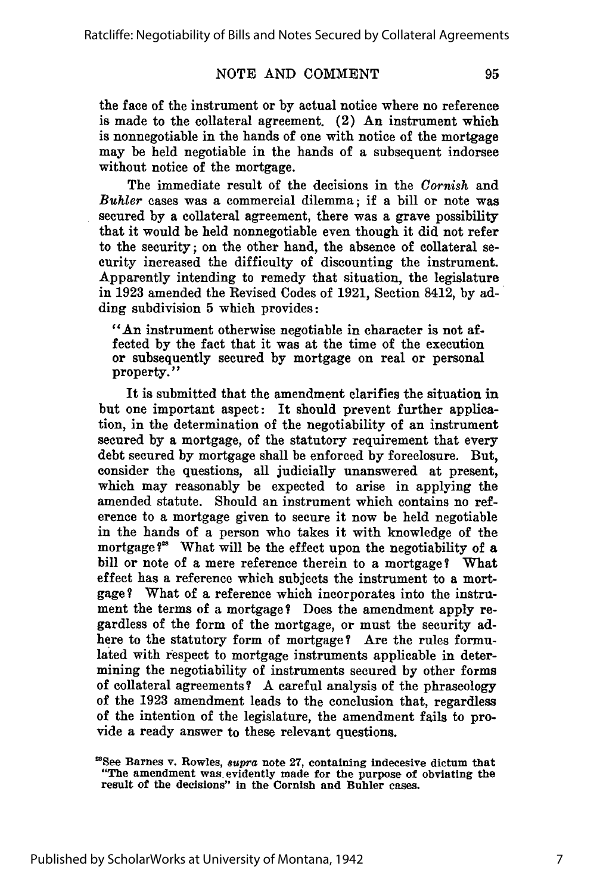the face of the instrument or **by** actual notice where no reference is made to the collateral agreement. (2) An instrument which is nonnegotiable in the hands of one with notice of the mortgage may be held negotiable in the hands of a subsequent indorsee without notice of the mortgage.

The immediate result of the decisions in the *Cornish* and *Buhler* cases was a commercial dilemma; if a bill or note was secured **by** a collateral agreement, there was a grave possibility that it would be held nonnegotiable even though it did not refer to the security; on the other hand, the absence of collateral security increased the difficulty of discounting the instrument. Apparently intending to remedy that situation, the legislature in **1923** amended the Revised Codes of **1921,** Section 8412, **by** adding subdivision **5** which provides:

"An instrument otherwise negotiable in character is not affected **by** the fact that it was at the time of the execution or subsequently secured **by** mortgage on real or personal property."

It is submitted that the amendment clarifies the situation in but one important aspect: It should prevent further application, in the determination of the negotiability of an instrument secured **by** a mortgage, of the statutory requirement that every debt secured **by** mortgage shall be enforced **by** foreclosure. But, consider the questions, all judicially unanswered at present, which may reasonably be expected to arise in applying the amended statute. Should an instrument which contains no reference to a mortgage given to secure it now be held negotiable in the hands of a person who takes it with knowledge of the mortgage **?'** What will be the effect upon the negotiability of a bill or note of a mere reference therein to a mortgage? What effect has a reference which subjects the instrument to a mortgage? What of a reference which incorporates into the instrument the terms of a mortgage? Does the amendment apply regardless of the form of the mortgage, or must the security adhere to the statutory form of mortgage? Are the rules formulated with respect to mortgage instruments applicable in determining the negotiability of instruments secured **by** other forms of collateral agreements? A careful analysis of the phraseology of the **1923** amendment leads to the conclusion that, regardless of the intention of the legislature, the amendment fails to provide a ready answer to these relevant questions.

<sup>&#</sup>x27;See Barnes v. Rowles, *supra* note **27,** containing indecesive dictum that "The amendment was evidently made for the purpose of obviating the result of the decisions" in the Cornish and Buhler cases.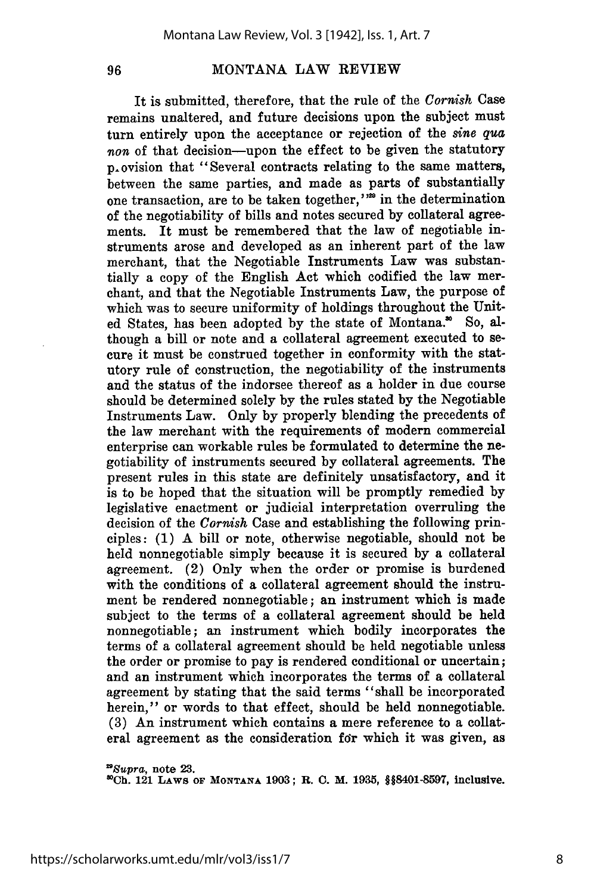96

#### MONTANA LAW REVIEW

It is submitted, therefore, that the rule of the *Cornish* Case remains unaltered, and future decisions upon the subject must turn entirely upon the acceptance or rejection of the *sine qua* non of that decision-upon the effect to be given the statutory p.ovision that "Several contracts relating to the same matters, between the same parties, and made as parts of substantially one transaction, are to be taken together, '<sup>120</sup> in the determination of the negotiability of bills and notes secured by collateral agreements. It must be remembered that the law of negotiable instruments arose and developed as an inherent part of the law merchant, that the Negotiable Instruments Law was substantially a copy of the English Act which codified the law merchant, and that the Negotiable Instruments Law, the purpose of which was to secure uniformity of holdings throughout the United States, has been adopted by the state of Montana.<sup>80</sup> So, although a bill or note and a collateral agreement executed to secure it must be construed together in conformity with the statutory rule of construction, the negotiability of the instruments and the status of the indorsee thereof as a holder in due course should be determined solely by the rules stated by the Negotiable Instruments Law. Only by properly blending the precedents of the law merchant with the requirements of modern commercial enterprise can workable rules be formulated to determine the negotiability of instruments secured by collateral agreements. The present rules in this state are definitely unsatisfactory, and it is to be hoped that the situation will be promptly remedied by legislative enactment or judicial interpretation overruling the decision of the *Cornish* Case and establishing the following principles: (1) A bill or note, otherwise negotiable, should not be held nonnegotiable simply because it is secured by a collateral agreement. (2) Only when the order or promise is burdened with the conditions of a collateral agreement should the instrument be rendered nonnegotiable; an instrument which is made subject to the terms of a collateral agreement should be held nonnegotiable; an instrument which bodily incorporates the terms of a collateral agreement should be held negotiable unless the order or promise to pay is rendered conditional or uncertain; and an instrument which incorporates the terms of a collateral agreement by stating that the said terms "shall be incorporated herein," or words to that effect, should be held nonnegotiable. (3) An instrument which contains a mere reference to a collateral agreement as the consideration for which it was given, as

*"Supra,* note **23. 3iCh.** 121 **LAws OF MONTANA 1903;** R. **C.** M. **1935, §§8401-8597,** inclusive.